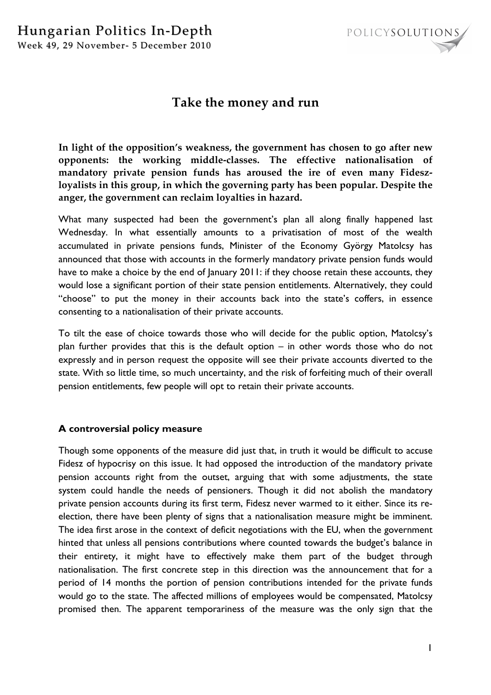

## **Take the money and run**

**In light of the opposition's weakness, the government has chosen to go after new opponents: the working middle-classes. The effective nationalisation of mandatory private pension funds has aroused the ire of even many Fideszloyalists in this group, in which the governing party has been popular. Despite the anger, the government can reclaim loyalties in hazard.**

What many suspected had been the government's plan all along finally happened last Wednesday. In what essentially amounts to a privatisation of most of the wealth accumulated in private pensions funds, Minister of the Economy György Matolcsy has announced that those with accounts in the formerly mandatory private pension funds would have to make a choice by the end of January 2011: if they choose retain these accounts, they would lose a significant portion of their state pension entitlements. Alternatively, they could "choose" to put the money in their accounts back into the state's coffers, in essence consenting to a nationalisation of their private accounts.

To tilt the ease of choice towards those who will decide for the public option, Matolcsy's plan further provides that this is the default option – in other words those who do not expressly and in person request the opposite will see their private accounts diverted to the state. With so little time, so much uncertainty, and the risk of forfeiting much of their overall pension entitlements, few people will opt to retain their private accounts.

## **A controversial policy measure**

Though some opponents of the measure did just that, in truth it would be difficult to accuse Fidesz of hypocrisy on this issue. It had opposed the introduction of the mandatory private pension accounts right from the outset, arguing that with some adjustments, the state system could handle the needs of pensioners. Though it did not abolish the mandatory private pension accounts during its first term, Fidesz never warmed to it either. Since its reelection, there have been plenty of signs that a nationalisation measure might be imminent. The idea first arose in the context of deficit negotiations with the EU, when the government hinted that unless all pensions contributions where counted towards the budget's balance in their entirety, it might have to effectively make them part of the budget through nationalisation. The first concrete step in this direction was the announcement that for a period of 14 months the portion of pension contributions intended for the private funds would go to the state. The affected millions of employees would be compensated, Matolcsy promised then. The apparent temporariness of the measure was the only sign that the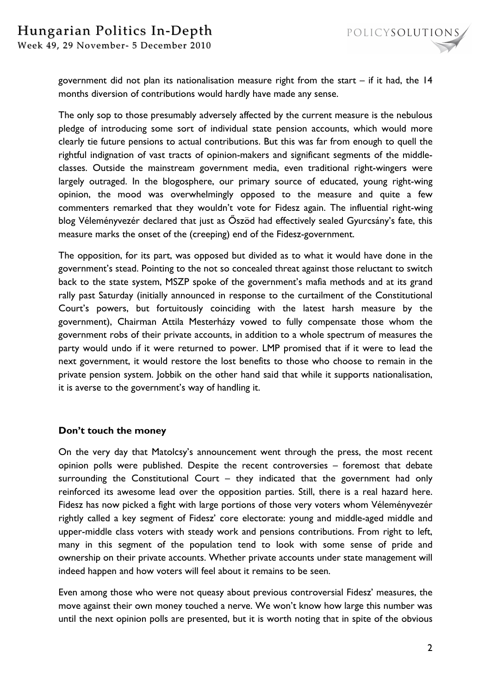Week 49, 29 November- 5 December 2010

government did not plan its nationalisation measure right from the start  $-$  if it had, the 14 months diversion of contributions would hardly have made any sense.

The only sop to those presumably adversely affected by the current measure is the nebulous pledge of introducing some sort of individual state pension accounts, which would more clearly tie future pensions to actual contributions. But this was far from enough to quell the rightful indignation of vast tracts of opinion-makers and significant segments of the middleclasses. Outside the mainstream government media, even traditional right-wingers were largely outraged. In the blogosphere, our primary source of educated, young right-wing opinion, the mood was overwhelmingly opposed to the measure and quite a few commenters remarked that they wouldn't vote for Fidesz again. The influential right-wing blog Véleményvezér declared that just as Őszöd had effectively sealed Gyurcsány's fate, this measure marks the onset of the (creeping) end of the Fidesz-government.

The opposition, for its part, was opposed but divided as to what it would have done in the government's stead. Pointing to the not so concealed threat against those reluctant to switch back to the state system, MSZP spoke of the government's mafia methods and at its grand rally past Saturday (initially announced in response to the curtailment of the Constitutional Court's powers, but fortuitously coinciding with the latest harsh measure by the government), Chairman Attila Mesterházy vowed to fully compensate those whom the government robs of their private accounts, in addition to a whole spectrum of measures the party would undo if it were returned to power. LMP promised that if it were to lead the next government, it would restore the lost benefits to those who choose to remain in the private pension system. Jobbik on the other hand said that while it supports nationalisation, it is averse to the government's way of handling it.

## **Don't touch the money**

On the very day that Matolcsy's announcement went through the press, the most recent opinion polls were published. Despite the recent controversies – foremost that debate surrounding the Constitutional Court – they indicated that the government had only reinforced its awesome lead over the opposition parties. Still, there is a real hazard here. Fidesz has now picked a fight with large portions of those very voters whom Véleményvezér rightly called a key segment of Fidesz' core electorate: young and middle-aged middle and upper-middle class voters with steady work and pensions contributions. From right to left, many in this segment of the population tend to look with some sense of pride and ownership on their private accounts. Whether private accounts under state management will indeed happen and how voters will feel about it remains to be seen.

Even among those who were not queasy about previous controversial Fidesz' measures, the move against their own money touched a nerve. We won't know how large this number was until the next opinion polls are presented, but it is worth noting that in spite of the obvious

POLICYSOLUTIONS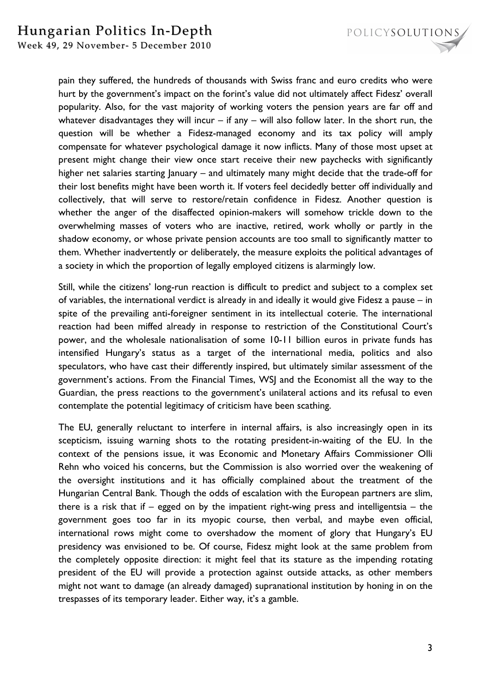

Week 49, 29 November- 5 December 2010

pain they suffered, the hundreds of thousands with Swiss franc and euro credits who were hurt by the government's impact on the forint's value did not ultimately affect Fidesz' overall popularity. Also, for the vast majority of working voters the pension years are far off and whatever disadvantages they will incur – if any – will also follow later. In the short run, the question will be whether a Fidesz-managed economy and its tax policy will amply compensate for whatever psychological damage it now inflicts. Many of those most upset at present might change their view once start receive their new paychecks with significantly higher net salaries starting January – and ultimately many might decide that the trade-off for their lost benefits might have been worth it. If voters feel decidedly better off individually and collectively, that will serve to restore/retain confidence in Fidesz. Another question is whether the anger of the disaffected opinion-makers will somehow trickle down to the overwhelming masses of voters who are inactive, retired, work wholly or partly in the shadow economy, or whose private pension accounts are too small to significantly matter to them. Whether inadvertently or deliberately, the measure exploits the political advantages of a society in which the proportion of legally employed citizens is alarmingly low.

Still, while the citizens' long-run reaction is difficult to predict and subject to a complex set of variables, the international verdict is already in and ideally it would give Fidesz a pause – in spite of the prevailing anti-foreigner sentiment in its intellectual coterie. The international reaction had been miffed already in response to restriction of the Constitutional Court's power, and the wholesale nationalisation of some 10-11 billion euros in private funds has intensified Hungary's status as a target of the international media, politics and also speculators, who have cast their differently inspired, but ultimately similar assessment of the government's actions. From the Financial Times, WSJ and the Economist all the way to the Guardian, the press reactions to the government's unilateral actions and its refusal to even contemplate the potential legitimacy of criticism have been scathing.

The EU, generally reluctant to interfere in internal affairs, is also increasingly open in its scepticism, issuing warning shots to the rotating president-in-waiting of the EU. In the context of the pensions issue, it was Economic and Monetary Affairs Commissioner Olli Rehn who voiced his concerns, but the Commission is also worried over the weakening of the oversight institutions and it has officially complained about the treatment of the Hungarian Central Bank. Though the odds of escalation with the European partners are slim, there is a risk that if – egged on by the impatient right-wing press and intelligentsia – the government goes too far in its myopic course, then verbal, and maybe even official, international rows might come to overshadow the moment of glory that Hungary's EU presidency was envisioned to be. Of course, Fidesz might look at the same problem from the completely opposite direction: it might feel that its stature as the impending rotating president of the EU will provide a protection against outside attacks, as other members might not want to damage (an already damaged) supranational institution by honing in on the trespasses of its temporary leader. Either way, it's a gamble.